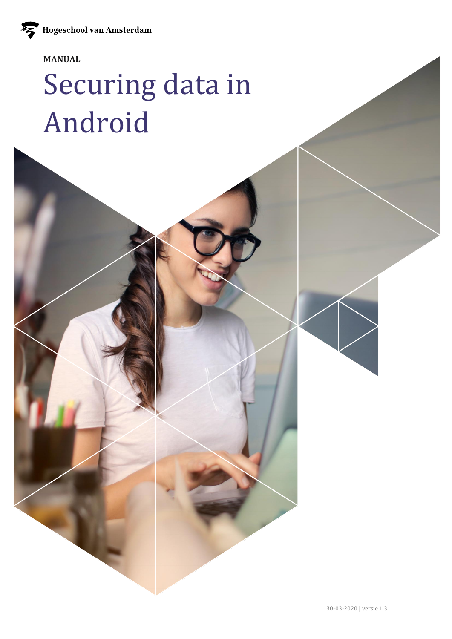### **MANUAL**

# Securing data in Android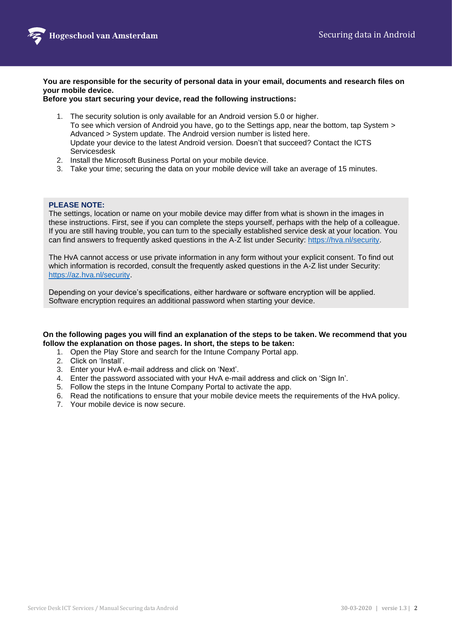

**You are responsible for the security of personal data in your email, documents and research files on your mobile device.** 

**Before you start securing your device, read the following instructions:**

- 1. The security solution is only available for an Android version 5.0 or higher. To see which version of Android you have, go to the Settings app, near the bottom, tap System > Advanced > System update. The Android version number is listed here. Update your device to the latest Android version. Doesn't that succeed? Contact the ICTS Servicesdesk
- 2. Install the Microsoft Business Portal on your mobile device.
- 3. Take your time; securing the data on your mobile device will take an average of 15 minutes.

#### **PLEASE NOTE:**

The settings, location or name on your mobile device may differ from what is shown in the images in these instructions. First, see if you can complete the steps yourself, perhaps with the help of a colleague. If you are still having trouble, you can turn to the specially established service desk at your location. You can find answers to frequently asked questions in the A-Z list under Security: [https://hva.nl/security.](https://az.hva.nl/medewerkers/staven-en-diensten/az-lemmas/medewerkers/hva-breed/its-si/ict-beveiliging/veelgestelde-vragen-beveiligingsmaatregelen/veelgestelde-vragen-beveiligingsmaatregelen-secure-self.html?origin=EYPxGBCiReW4zt5jgW0eJw)

The HvA cannot access or use private information in any form without your explicit consent. To find out which information is recorded, consult the frequently asked questions in the A-Z list under Security: [https://az.hva.nl/security.](https://az.hva.nl/security)

Depending on your device's specifications, either hardware or software encryption will be applied. Software encryption requires an additional password when starting your device.

#### **On the following pages you will find an explanation of the steps to be taken. We recommend that you follow the explanation on those pages. In short, the steps to be taken:**

- 1. Open the Play Store and search for the Intune Company Portal app.
- 2. Click on 'Install'.
- 3. Enter your HvA e-mail address and click on 'Next'.
- 4. Enter the password associated with your HvA e-mail address and click on 'Sign In'.
- 5. Follow the steps in the Intune Company Portal to activate the app.
- 6. Read the notifications to ensure that your mobile device meets the requirements of the HvA policy.
- 7. Your mobile device is now secure.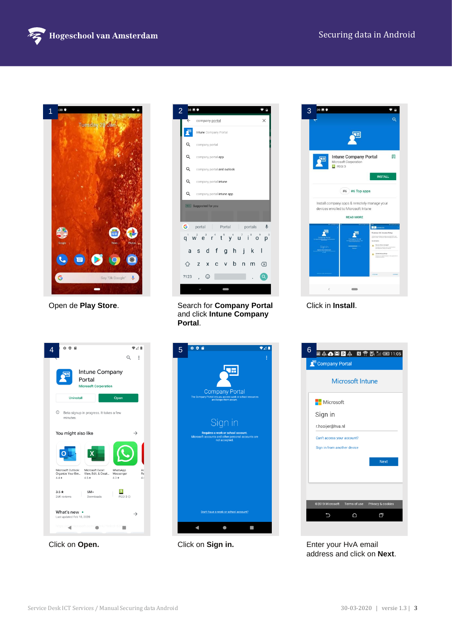



| 2 | 38 M O | т                                                                                                                                   | 3 |
|---|--------|-------------------------------------------------------------------------------------------------------------------------------------|---|
|   |        | company portal<br>$\times$                                                                                                          |   |
|   |        | Intune Company Portal                                                                                                               |   |
|   | Q      | company portal                                                                                                                      |   |
|   | Q      | company portal app                                                                                                                  |   |
|   | Q      | company portal and outlook                                                                                                          |   |
|   | Q      | company portal intune                                                                                                               |   |
|   | Q      | company portal intune app                                                                                                           |   |
|   |        | Ads Suggested for you                                                                                                               |   |
|   |        |                                                                                                                                     |   |
|   |        | G portal<br>Portal<br>portals $\Psi$                                                                                                |   |
|   |        | $q^1$ w <sup>2</sup> $e^3$ r <sup>4</sup> t <sup>5</sup> y <sup>6</sup> u <sup>7</sup> i <sup>8</sup> o <sup>9</sup> p <sup>6</sup> |   |
|   | a      | sdfghjk<br>-1                                                                                                                       |   |
|   | ⇧      | v b<br>Z<br>X<br>n<br>m<br>C<br>$\sqrt{x}$                                                                                          |   |
|   | ?123   | ☺<br>$\alpha$                                                                                                                       |   |
|   |        |                                                                                                                                     |   |

Open de **Play Store.** Search for **Company Portal** and click **Intune Company Portal**.



Click in **Install**.







Click on **Open.** Click on **Sign in.** Enter your HvA email address and click on **Next**.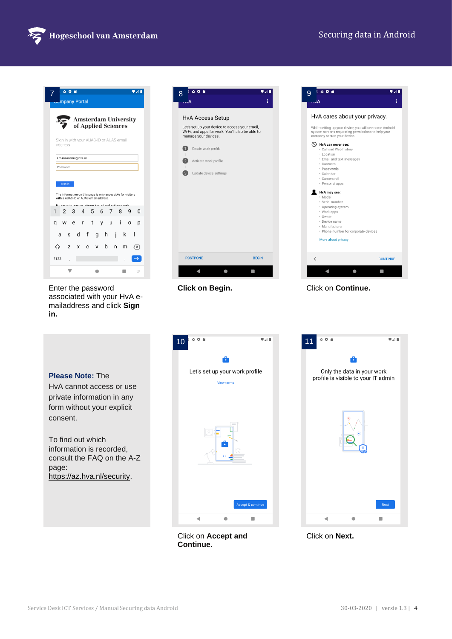

 $\overline{41}$ 



Enter the password associated with your HvA emailaddress and click **Sign in.**





 $5006$ 

**Click on Begin.** Click on **Continue.** 

**Please Note:** The

HvA cannot access or use private information in any form without your explicit consent.

To find out which information is recorded, consult the FAQ on the A-Z page: https://az.hva.nl/security.



Click on **Accept and** 

**Continue.**

 $\overline{241}$  $006$ Only the data in your work profile is visible to your IT admin 4  $\bullet$  $\blacksquare$ 

Click on **Next.**